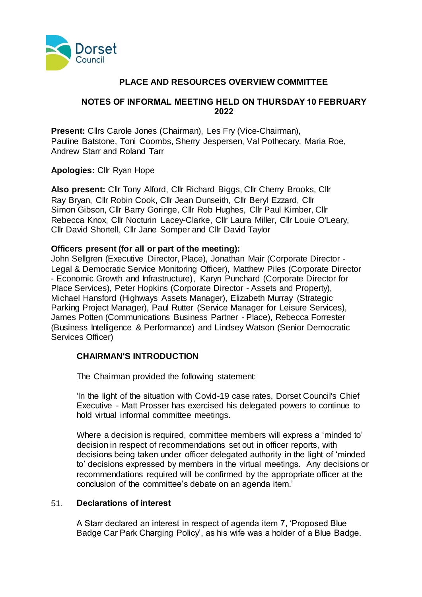

## **PLACE AND RESOURCES OVERVIEW COMMITTEE**

## **NOTES OF INFORMAL MEETING HELD ON THURSDAY 10 FEBRUARY 2022**

**Present:** Cllrs Carole Jones (Chairman), Les Fry (Vice-Chairman), Pauline Batstone, Toni Coombs, Sherry Jespersen, Val Pothecary, Maria Roe, Andrew Starr and Roland Tarr

## **Apologies:** Cllr Ryan Hope

**Also present:** Cllr Tony Alford, Cllr Richard Biggs, Cllr Cherry Brooks, Cllr Ray Bryan, Cllr Robin Cook, Cllr Jean Dunseith, Cllr Beryl Ezzard, Cllr Simon Gibson, Cllr Barry Goringe, Cllr Rob Hughes, Cllr Paul Kimber, Cllr Rebecca Knox, Cllr Nocturin Lacey-Clarke, Cllr Laura Miller, Cllr Louie O'Leary, Cllr David Shortell, Cllr Jane Somper and Cllr David Taylor

## **Officers present (for all or part of the meeting):**

John Sellgren (Executive Director, Place), Jonathan Mair (Corporate Director - Legal & Democratic Service Monitoring Officer), Matthew Piles (Corporate Director - Economic Growth and Infrastructure), Karyn Punchard (Corporate Director for Place Services), Peter Hopkins (Corporate Director - Assets and Property), Michael Hansford (Highways Assets Manager), Elizabeth Murray (Strategic Parking Project Manager), Paul Rutter (Service Manager for Leisure Services), James Potten (Communications Business Partner - Place), Rebecca Forrester (Business Intelligence & Performance) and Lindsey Watson (Senior Democratic Services Officer)

## **CHAIRMAN'S INTRODUCTION**

The Chairman provided the following statement:

'In the light of the situation with Covid-19 case rates, Dorset Council's Chief Executive - Matt Prosser has exercised his delegated powers to continue to hold virtual informal committee meetings.

Where a decision is required, committee members will express a 'minded to' decision in respect of recommendations set out in officer reports, with decisions being taken under officer delegated authority in the light of 'minded to' decisions expressed by members in the virtual meetings. Any decisions or recommendations required will be confirmed by the appropriate officer at the conclusion of the committee's debate on an agenda item.'

## 51. **Declarations of interest**

A Starr declared an interest in respect of agenda item 7, 'Proposed Blue Badge Car Park Charging Policy', as his wife was a holder of a Blue Badge.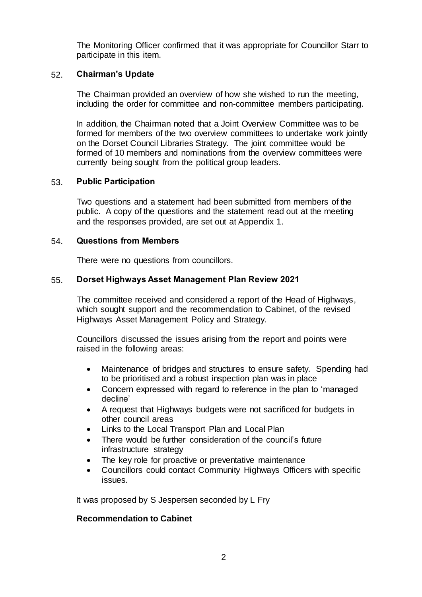The Monitoring Officer confirmed that it was appropriate for Councillor Starr to participate in this item.

## 52. **Chairman's Update**

The Chairman provided an overview of how she wished to run the meeting, including the order for committee and non-committee members participating.

In addition, the Chairman noted that a Joint Overview Committee was to be formed for members of the two overview committees to undertake work jointly on the Dorset Council Libraries Strategy. The joint committee would be formed of 10 members and nominations from the overview committees were currently being sought from the political group leaders.

### 53. **Public Participation**

Two questions and a statement had been submitted from members of the public. A copy of the questions and the statement read out at the meeting and the responses provided, are set out at Appendix 1.

### 54. **Questions from Members**

There were no questions from councillors.

## 55. **Dorset Highways Asset Management Plan Review 2021**

The committee received and considered a report of the Head of Highways, which sought support and the recommendation to Cabinet, of the revised Highways Asset Management Policy and Strategy.

Councillors discussed the issues arising from the report and points were raised in the following areas:

- Maintenance of bridges and structures to ensure safety. Spending had to be prioritised and a robust inspection plan was in place
- Concern expressed with regard to reference in the plan to 'managed decline'
- A request that Highways budgets were not sacrificed for budgets in other council areas
- Links to the Local Transport Plan and Local Plan
- There would be further consideration of the council's future infrastructure strategy
- The key role for proactive or preventative maintenance
- Councillors could contact Community Highways Officers with specific issues.

It was proposed by S Jespersen seconded by L Fry

## **Recommendation to Cabinet**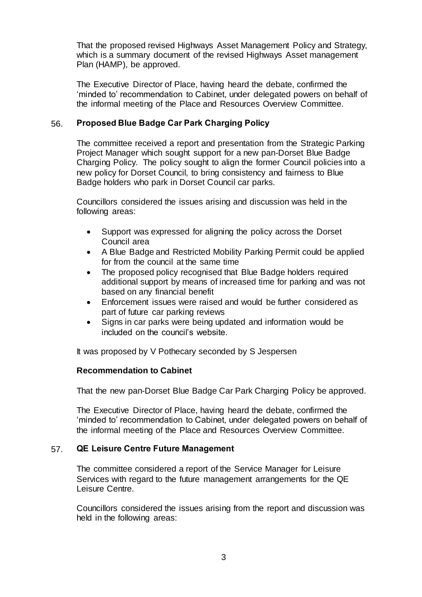That the proposed revised Highways Asset Management Policy and Strategy, which is a summary document of the revised Highways Asset management Plan (HAMP), be approved.

The Executive Director of Place, having heard the debate, confirmed the 'minded to' recommendation to Cabinet, under delegated powers on behalf of the informal meeting of the Place and Resources Overview Committee.

## 56. **Proposed Blue Badge Car Park Charging Policy**

The committee received a report and presentation from the Strategic Parking Project Manager which sought support for a new pan-Dorset Blue Badge Charging Policy. The policy sought to align the former Council policies into a new policy for Dorset Council, to bring consistency and fairness to Blue Badge holders who park in Dorset Council car parks.

Councillors considered the issues arising and discussion was held in the following areas:

- Support was expressed for aligning the policy across the Dorset Council area
- A Blue Badge and Restricted Mobility Parking Permit could be applied for from the council at the same time
- The proposed policy recognised that Blue Badge holders required additional support by means of increased time for parking and was not based on any financial benefit
- Enforcement issues were raised and would be further considered as part of future car parking reviews
- Signs in car parks were being updated and information would be included on the council's website.

It was proposed by V Pothecary seconded by S Jespersen

## **Recommendation to Cabinet**

That the new pan-Dorset Blue Badge Car Park Charging Policy be approved.

The Executive Director of Place, having heard the debate, confirmed the 'minded to' recommendation to Cabinet, under delegated powers on behalf of the informal meeting of the Place and Resources Overview Committee.

#### 57. **QE Leisure Centre Future Management**

The committee considered a report of the Service Manager for Leisure Services with regard to the future management arrangements for the QE Leisure Centre.

Councillors considered the issues arising from the report and discussion was held in the following areas: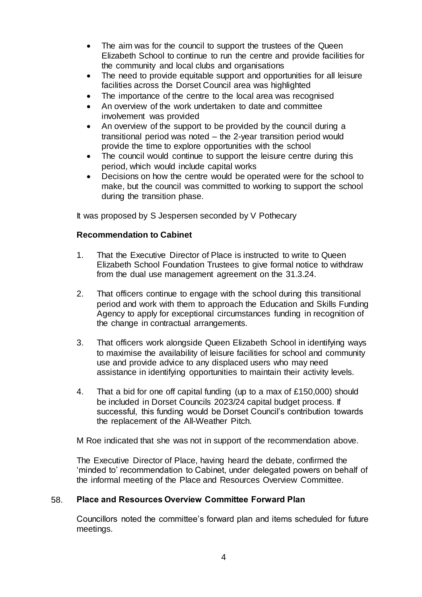- The aim was for the council to support the trustees of the Queen Elizabeth School to continue to run the centre and provide facilities for the community and local clubs and organisations
- The need to provide equitable support and opportunities for all leisure facilities across the Dorset Council area was highlighted
- The importance of the centre to the local area was recognised
- An overview of the work undertaken to date and committee involvement was provided
- An overview of the support to be provided by the council during a transitional period was noted – the 2-year transition period would provide the time to explore opportunities with the school
- The council would continue to support the leisure centre during this period, which would include capital works
- Decisions on how the centre would be operated were for the school to make, but the council was committed to working to support the school during the transition phase.

It was proposed by S Jespersen seconded by V Pothecary

## **Recommendation to Cabinet**

- 1. That the Executive Director of Place is instructed to write to Queen Elizabeth School Foundation Trustees to give formal notice to withdraw from the dual use management agreement on the 31.3.24.
- 2. That officers continue to engage with the school during this transitional period and work with them to approach the Education and Skills Funding Agency to apply for exceptional circumstances funding in recognition of the change in contractual arrangements.
- 3. That officers work alongside Queen Elizabeth School in identifying ways to maximise the availability of leisure facilities for school and community use and provide advice to any displaced users who may need assistance in identifying opportunities to maintain their activity levels.
- 4. That a bid for one off capital funding (up to a max of £150,000) should be included in Dorset Councils 2023/24 capital budget process. If successful, this funding would be Dorset Council's contribution towards the replacement of the All-Weather Pitch.

M Roe indicated that she was not in support of the recommendation above.

The Executive Director of Place, having heard the debate, confirmed the 'minded to' recommendation to Cabinet, under delegated powers on behalf of the informal meeting of the Place and Resources Overview Committee.

## 58. **Place and Resources Overview Committee Forward Plan**

Councillors noted the committee's forward plan and items scheduled for future meetings.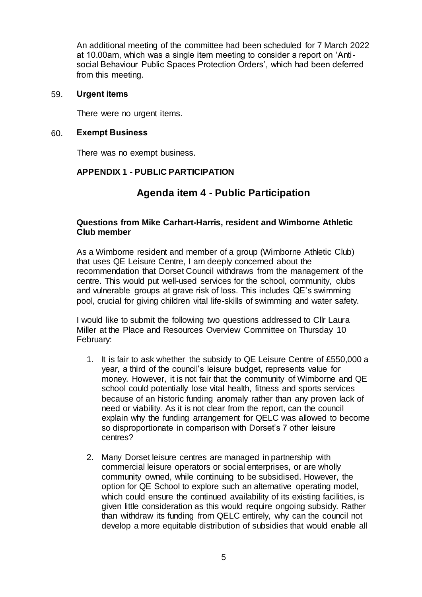An additional meeting of the committee had been scheduled for 7 March 2022 at 10.00am, which was a single item meeting to consider a report on 'Antisocial Behaviour Public Spaces Protection Orders', which had been deferred from this meeting.

#### 59. **Urgent items**

There were no urgent items.

## 60. **Exempt Business**

There was no exempt business.

## **APPENDIX 1 - PUBLIC PARTICIPATION**

# **Agenda item 4 - Public Participation**

## **Questions from Mike Carhart-Harris, resident and Wimborne Athletic Club member**

As a Wimborne resident and member of a group (Wimborne Athletic Club) that uses QE Leisure Centre, I am deeply concerned about the recommendation that Dorset Council withdraws from the management of the centre. This would put well-used services for the school, community, clubs and vulnerable groups at grave risk of loss. This includes QE's swimming pool, crucial for giving children vital life-skills of swimming and water safety.

I would like to submit the following two questions addressed to Cllr Laura Miller at the Place and Resources Overview Committee on Thursday 10 February:

- 1. It is fair to ask whether the subsidy to QE Leisure Centre of £550,000 a year, a third of the council's leisure budget, represents value for money. However, it is not fair that the community of Wimborne and QE school could potentially lose vital health, fitness and sports services because of an historic funding anomaly rather than any proven lack of need or viability. As it is not clear from the report, can the council explain why the funding arrangement for QELC was allowed to become so disproportionate in comparison with Dorset's 7 other leisure centres?
- 2. Many Dorset leisure centres are managed in partnership with commercial leisure operators or social enterprises, or are wholly community owned, while continuing to be subsidised. However, the option for QE School to explore such an alternative operating model, which could ensure the continued availability of its existing facilities, is given little consideration as this would require ongoing subsidy. Rather than withdraw its funding from QELC entirely, why can the council not develop a more equitable distribution of subsidies that would enable all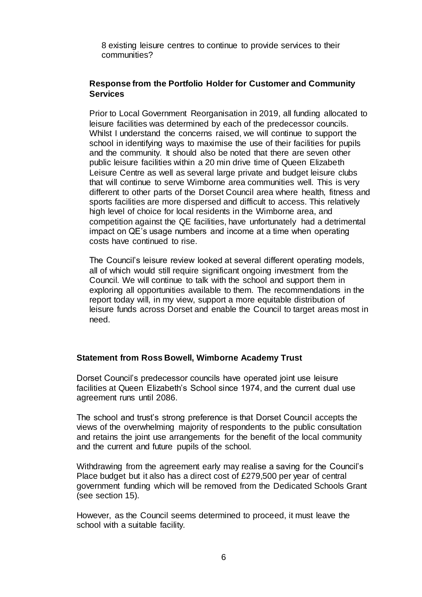8 existing leisure centres to continue to provide services to their communities?

## **Response from the Portfolio Holder for Customer and Community Services**

Prior to Local Government Reorganisation in 2019, all funding allocated to leisure facilities was determined by each of the predecessor councils. Whilst I understand the concerns raised, we will continue to support the school in identifying ways to maximise the use of their facilities for pupils and the community. It should also be noted that there are seven other public leisure facilities within a 20 min drive time of Queen Elizabeth Leisure Centre as well as several large private and budget leisure clubs that will continue to serve Wimborne area communities well. This is very different to other parts of the Dorset Council area where health, fitness and sports facilities are more dispersed and difficult to access. This relatively high level of choice for local residents in the Wimborne area, and competition against the QE facilities, have unfortunately had a detrimental impact on QE's usage numbers and income at a time when operating costs have continued to rise.

The Council's leisure review looked at several different operating models, all of which would still require significant ongoing investment from the Council. We will continue to talk with the school and support them in exploring all opportunities available to them. The recommendations in the report today will, in my view, support a more equitable distribution of leisure funds across Dorset and enable the Council to target areas most in need.

## **Statement from Ross Bowell, Wimborne Academy Trust**

Dorset Council's predecessor councils have operated joint use leisure facilities at Queen Elizabeth's School since 1974, and the current dual use agreement runs until 2086.

The school and trust's strong preference is that Dorset Council accepts the views of the overwhelming majority of respondents to the public consultation and retains the joint use arrangements for the benefit of the local community and the current and future pupils of the school.

Withdrawing from the agreement early may realise a saving for the Council's Place budget but it also has a direct cost of £279,500 per year of central government funding which will be removed from the Dedicated Schools Grant (see section 15).

However, as the Council seems determined to proceed, it must leave the school with a suitable facility.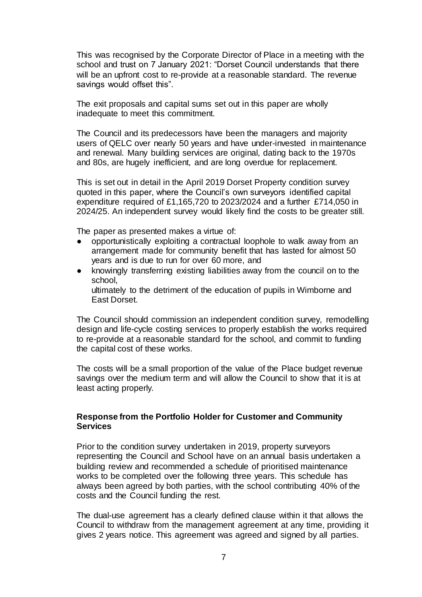This was recognised by the Corporate Director of Place in a meeting with the school and trust on 7 January 2021: "Dorset Council understands that there will be an upfront cost to re-provide at a reasonable standard. The revenue savings would offset this".

The exit proposals and capital sums set out in this paper are wholly inadequate to meet this commitment.

The Council and its predecessors have been the managers and majority users of QELC over nearly 50 years and have under-invested in maintenance and renewal. Many building services are original, dating back to the 1970s and 80s, are hugely inefficient, and are long overdue for replacement.

This is set out in detail in the April 2019 Dorset Property condition survey quoted in this paper, where the Council's own surveyors identified capital expenditure required of £1,165,720 to 2023/2024 and a further £714,050 in 2024/25. An independent survey would likely find the costs to be greater still.

The paper as presented makes a virtue of:

- opportunistically exploiting a contractual loophole to walk away from an arrangement made for community benefit that has lasted for almost 50 years and is due to run for over 60 more, and
- knowingly transferring existing liabilities away from the council on to the school, ultimately to the detriment of the education of pupils in Wimborne and East Dorset.

The Council should commission an independent condition survey, remodelling design and life-cycle costing services to properly establish the works required to re-provide at a reasonable standard for the school, and commit to funding the capital cost of these works.

The costs will be a small proportion of the value of the Place budget revenue savings over the medium term and will allow the Council to show that it is at least acting properly.

## **Response from the Portfolio Holder for Customer and Community Services**

Prior to the condition survey undertaken in 2019, property surveyors representing the Council and School have on an annual basis undertaken a building review and recommended a schedule of prioritised maintenance works to be completed over the following three years. This schedule has always been agreed by both parties, with the school contributing 40% of the costs and the Council funding the rest.

The dual-use agreement has a clearly defined clause within it that allows the Council to withdraw from the management agreement at any time, providing it gives 2 years notice. This agreement was agreed and signed by all parties.